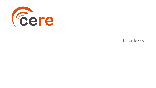

## **Trackers**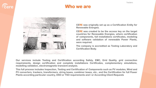

### **Who we are**



**CERE was originally set up as a Certification Entity for Renewable Energies.**

**CERE was created to be the access key on the target countries for Renewable Energies, where certification of components, full installations certificates, modeling and software validation of renewable Power Plants, were required.**

**The company is accredited as Testing Laboratory and Certification Body.**

**Our services include Testing and Certification according Safety, EMC, Grid Quality, grid connection requirements, design certification and complete installations Certificates, complementary simulations, modelling validation, electromagnetic transient analysis.**

**This full process includes Inspection, Testing and Certification of Components such as PV modules, Wind and PV converters, trackers, transformers, string boxes, combiner boxes, etc., and the Certification for full Power Plants according particular country, DSO or TSO requirements and / or According Client Requests**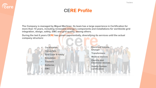### **CERE Profile**

**The Company is managed by Miguel Martínez. Its team has a large experience in Certification for more than 10 years, including renewable energy's components and installations for worldwide grid integration, design, safety, EMC and grid quality, among others.**

**During the last 6 years CERE has grown exponentially, diversifying its services until the actual company structure:**



- **Grid Code & safety**
- **Simulation**
- **Trackers**
- **Batteries**
- **EMC**
- **Electrical Vehicle Charger**
- **Transformers**
- **Medical devices**
- **Electric and Electronic devices**
- **Quality System certification**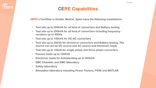### **CERE Capabilities**

**CERE's Facilities in Getafe, Madrid, Spain have the following installations:**

- **Test site up to 500kVA for all kind of converters and Battery testing**
- **Test site up to 250kVA for all kind of converters including frequency variators up to 400Hz**
- **Test site up to 100kVA for DC-AC converters**
- **Test site up to 50kVA for all kind of converters and Battery testing. The source can act as DC source and AC source and electronic loads**
- **Test site up to 10kVA for single phase and three phase converters**
- **Passive loads up to 100kVA**
- **Electronic loads for Antiislanding up to 500kVA**
- **EMC Chamber and EMC laboratory**
- **Safety laboratory**
- **Simulation laboratory including Power Factory, PSSE and MATLAB**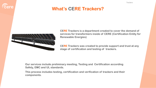### **What's CERE Trackers?**



**CERE Trackers is a department created to cover the demand of services for transformers inside of CERE (Certification Entity for Renewable Energies)**

**CERE Trackers was created to provide support and trust at any stage of certification and testing of trackers.**

**Our services include preliminary meeting, Testing and Certification according Safety, EMC and UL standards.**

**This process includes testing, certification and verification of trackers and their components.**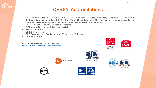### **CERE's Accreditations**

- **CERE is accredited by ENAC and a2La (IAF/ILAC members) as Certification Body According ISO 17065 and Testing Laboratory according ISO 17025 for Power Generating Units. This fact ensures a deep knowledge in international requirements for components and Renewable Energies Power Plants.**
- **CERE is also CBTL and NCB for the IEC Scheme.**
- **MET approval for the North American market**
- **Sunspec approval**

*<u>Cere</u>* 

- **SII approval for Israel**
- **RETIE approved certification body for PV inverters (Colombia)**
- **Corean Approval**

**CERE's Accreditation can be checked in:** <http://www.cerecertification.com/accreditations>









**CERTIFICATE #5314.03** 





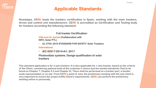### **Applicable Standards**

**Nowadays, CERE leads the trackers certification in Spain, working with the main trackers, drives and control unit manufacturers. CERE is accredited as Certification and Testing body for trackers according the following standard:**

**Full tracker Certification:** 

**USA and UL market (Collaboration with NRTL Solar PTL)**

• **UL 3703: 2015 STANDARD FOR SAFETY. Solar Trackers.**

**International** 

• **IEC 62817:2014+A1: 2017** 

**Photovoltaic systems. Design qualification of solar trackers**

**This standard application is for 2 axis trackers. It is also applicable for 1-axis tracker, based on the criteria of the Client, considering optional tests at the customer's choice and the market standards (Test to be found on Chapter 7, Chapter 8.5 and Chapter 9). There shall be performed on a tracker part, a tracker scale representation or on site. From CERE's point of view, the preliminary meeting with the new client is very important to ensure the project fulfils Client's requirements. CERE can perform the preliminary meeting online or personally.**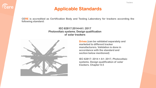### **Applicable Standards**

**CERE is accredited as Certification Body and Testing Laboratory for trackers according the following standard:**

### **IEC 62817:2014+A1: 2017 Photovoltaic systems. Design qualification of solar trackers**



*<u>Cere</u>* 

**Drives (can be validated separately and marketed to different tracker manufacturers. Validation is done in accordance with the standard and section below mentioned)**

**IEC 62817: 2014 + A1: 2017, Photovoltaic systems. Design qualification of solar trackers. Chapter 8.5**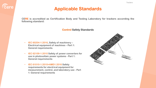### **Applicable Standards**

**CERE is accredited as Certification Body and Testing Laboratory for trackers according the following standard:**

#### **Control Safety Standards**

• **IEC 60204-1:2016, Safety of machinery – Electrical equipment of machines – Part 1: General requirements.**

*<u>Cere</u>* 

- **IEC 62109-1:2010 Safety of power converters for use in photovoltaic power systems - Part 1: General requirements**
- **IEC 61010-1:2010+AMD1:2016 Safety requirements for electrical equipment for measurement, control, and laboratory use - Part 1: General requirements**

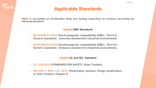### **Applicable Standards**

**CERE is accredited as Certification Body and Testing Laboratory for trackers according the following standard:**

#### **Control EMC Standards**

- **IEC 61000-6-2:2016 Electromagnetic compatibility (EMC) - Part 6-2: Generic standards - Immunity standard for industrial environments**
- **IEC 61000-6-4:2018 Electromagnetic compatibility (EMC) - Part 6-4: Generic standards - Emission standard for industrial environments**

### **Control UL and IEC Standard**

- **UL 3703:2015 STANDARD FOR SAFETY. Solar Trackers.**
- **IEC 62817: 2014 + A1: 2017, Photovoltaic systems. Design qualification of solar trackers. Chapter 9.**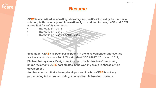

### **Resume**

**CERE is accredited as a testing laboratory and certification entity for the tracker solution, both nationally and internationally. In addition to being NCB and CBTL accredited for safety standards:**

- **• IEC 60204-1: 2016**
- **• IEC 62109-1: 2010**
- **• IEC 61010-1: 2010 + AMD1: 2016**

**In addition, CERE has been participating in the development of photovoltaic tracker standards since 2015. The standard "IEC 62817: 2014 + A1: 2017, Photovoltaic systems. Design qualification of solar trackers" is currently under review and CERE participates in the working group in charge of this development.**

**Another standard that is being developed and in which CERE is actively participating is the product safety standard for photovoltaic trackers.**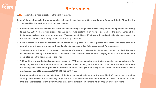

### **References**

**CERE Trackers has a wide expertise in the field of testing.**

Some of the most important projects carried out recently are located in Germany, France, Spain and South Africa for the **European and North American market. Some examples:**

- $\checkmark$  European manufacturer has test and certificate satisfactorily a single axis tracker family and its components, according to the IEC 62817. The testing process for the tracker was performed on his facilities and for the components all the testing process is performed in our laboratory. To complement this certification earth bonding test has been performed to **the trackers to confirm the safety of the tracker during operation.**
- $\checkmark$  Earth bonding is a general requirement on operative PV plants. A Client requested this service for more than 150 operating solar trackers, and the earth bonding has been measured on field as request of PV plant owner.
- $\checkmark$  The behavior of a Spanish tracker against the effects of flutter and galloping has been analyzed and certified. The tests have been successfully performed on a scale model of the tracker in a wind tunnel. The project itself took 4 months to be **completed since the acceptance of the offer.**
- $\checkmark$  TCE Marking and verification is a common request for PV trackers manufacturers Under request of the manufacturer for complying with the different directives associated with the CE marking for trackers and components, we have performed the testing and certification process of different standards that give conformity to the directives that apply to these **products such as EMC standards, IEC 60204, IEC 62109, etc**
- $\checkmark$  Environmental testing is an important part of the type tests applicable for solar trackers. The E&E testing laboratory has **already performed several successfully projects for European manufacturers, according to IEC 62817. Standard for solar trackers, incorporates several environmental tests to the different components which are part of such systems.**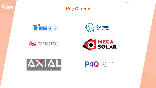**Trackers** 



### **Key Clients**





# **SEEMATEC**





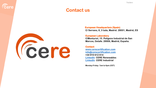



**European Headquarters (Spain) C/ Serrano, 8, 3 Izda, Madrid. 28001, Madrid, ES**

#### **European Laboratory**

**C/Monturiol, 15. Polígono Industrial de San Marcos, Getafe. 28906, Madrid, España.**

**Contact [www.cerecertification.com](http://www.cerecertification.com/) [info@cerecertification.com](mailto:info@cerecertification.com) +34 910 612 614 [LinkedIn](https://www.linkedin.com/company/cerecertification) CERE Renewables [LinkedIn](https://www.linkedin.com/company/cere-industrial) CERE Industrial**

**Monday-Friday: 7am to 6pm (CET)**